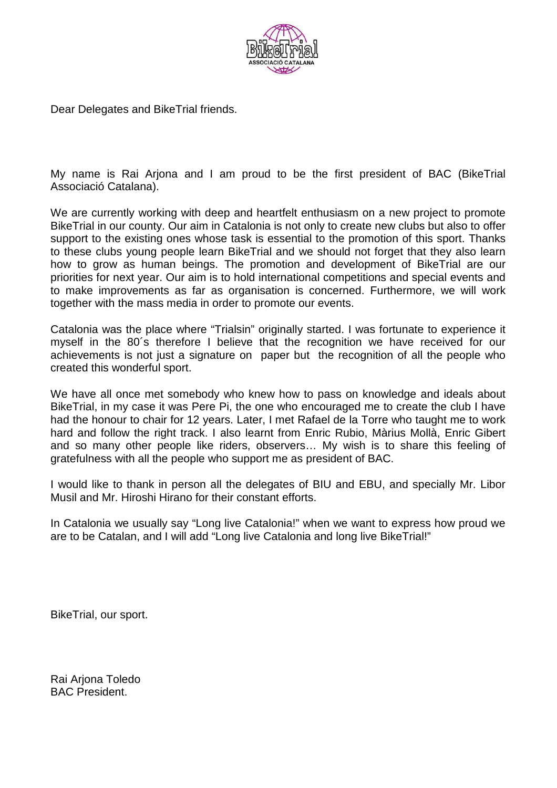

Dear Delegates and BikeTrial friends.

My name is Rai Arjona and I am proud to be the first president of BAC (BikeTrial Associació Catalana).

We are currently working with deep and heartfelt enthusiasm on a new project to promote BikeTrial in our county. Our aim in Catalonia is not only to create new clubs but also to offer support to the existing ones whose task is essential to the promotion of this sport. Thanks to these clubs young people learn BikeTrial and we should not forget that they also learn how to grow as human beings. The promotion and development of BikeTrial are our priorities for next year. Our aim is to hold international competitions and special events and to make improvements as far as organisation is concerned. Furthermore, we will work together with the mass media in order to promote our events.

Catalonia was the place where "Trialsin" originally started. I was fortunate to experience it myself in the 80´s therefore I believe that the recognition we have received for our achievements is not just a signature on paper but the recognition of all the people who created this wonderful sport.

We have all once met somebody who knew how to pass on knowledge and ideals about BikeTrial, in my case it was Pere Pi, the one who encouraged me to create the club I have had the honour to chair for 12 years. Later, I met Rafael de la Torre who taught me to work hard and follow the right track. I also learnt from Enric Rubio, Màrius Mollà, Enric Gibert and so many other people like riders, observers… My wish is to share this feeling of gratefulness with all the people who support me as president of BAC.

I would like to thank in person all the delegates of BIU and EBU, and specially Mr. Libor Musil and Mr. Hiroshi Hirano for their constant efforts.

In Catalonia we usually say "Long live Catalonia!" when we want to express how proud we are to be Catalan, and I will add "Long live Catalonia and long live BikeTrial!"

BikeTrial, our sport.

Rai Arjona Toledo BAC President.